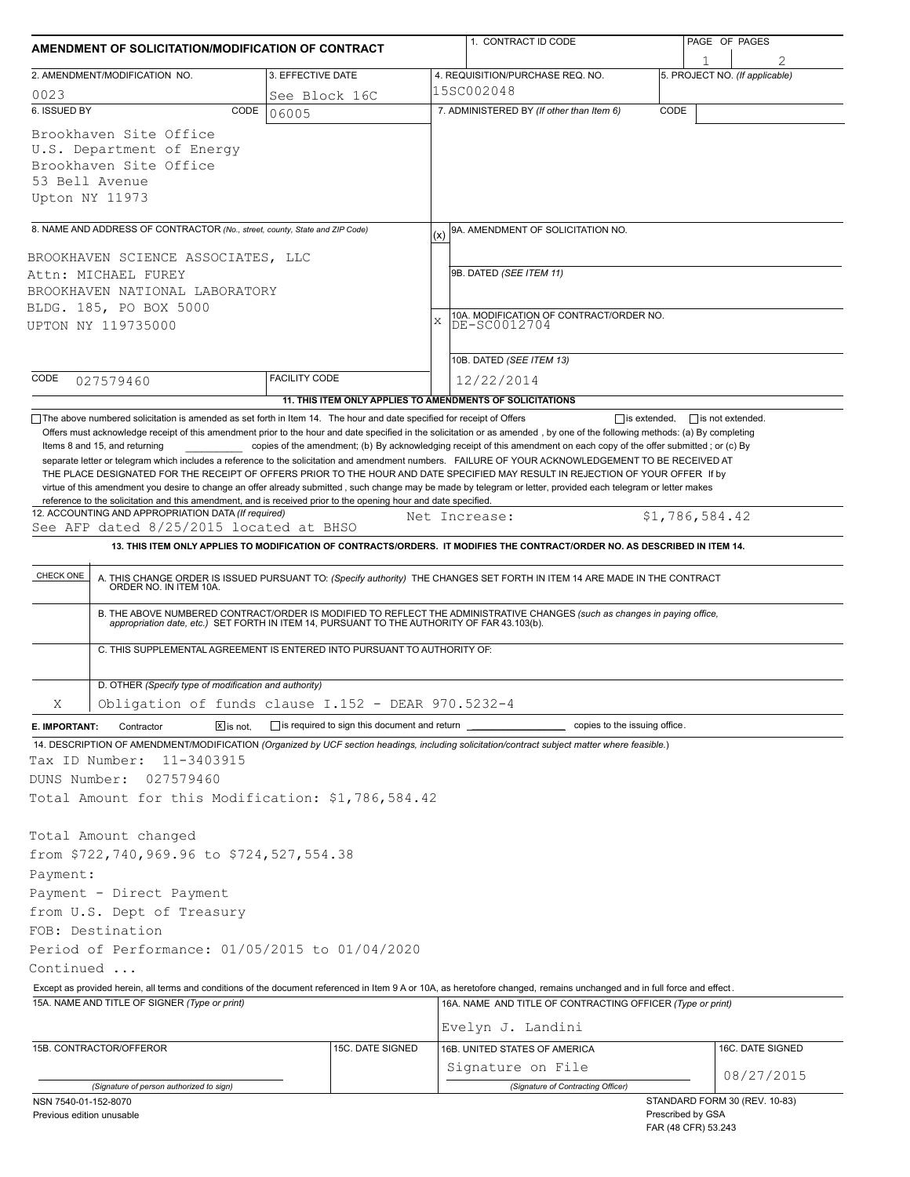| AMENDMENT OF SOLICITATION/MODIFICATION OF CONTRACT                                                                |                                                                          | 1. CONTRACT ID CODE                                                                                                                                                                                                                                                                              | PAGE OF PAGES                                                             |
|-------------------------------------------------------------------------------------------------------------------|--------------------------------------------------------------------------|--------------------------------------------------------------------------------------------------------------------------------------------------------------------------------------------------------------------------------------------------------------------------------------------------|---------------------------------------------------------------------------|
| 2. AMENDMENT/MODIFICATION NO.                                                                                     | 3. EFFECTIVE DATE                                                        | 4. REQUISITION/PURCHASE REQ. NO.                                                                                                                                                                                                                                                                 | 5. PROJECT NO. (If applicable)                                            |
| 0023                                                                                                              | See Block 16C                                                            | 15SC002048                                                                                                                                                                                                                                                                                       |                                                                           |
| 6. ISSUED BY                                                                                                      | CODE<br>06005                                                            | 7. ADMINISTERED BY (If other than Item 6)                                                                                                                                                                                                                                                        | CODE                                                                      |
| Brookhaven Site Office<br>U.S. Department of Energy<br>Brookhaven Site Office<br>53 Bell Avenue<br>Upton NY 11973 |                                                                          |                                                                                                                                                                                                                                                                                                  |                                                                           |
| 8. NAME AND ADDRESS OF CONTRACTOR (No., street, county, State and ZIP Code)                                       |                                                                          | 9A. AMENDMENT OF SOLICITATION NO.<br>(x)                                                                                                                                                                                                                                                         |                                                                           |
| BROOKHAVEN SCIENCE ASSOCIATES, LLC                                                                                |                                                                          | 9B. DATED (SEE ITEM 11)                                                                                                                                                                                                                                                                          |                                                                           |
| Attn: MICHAEL FUREY<br>BROOKHAVEN NATIONAL LABORATORY                                                             |                                                                          |                                                                                                                                                                                                                                                                                                  |                                                                           |
| BLDG. 185, PO BOX 5000                                                                                            |                                                                          |                                                                                                                                                                                                                                                                                                  |                                                                           |
| UPTON NY 119735000                                                                                                |                                                                          | 10A. MODIFICATION OF CONTRACT/ORDER NO.<br>X<br>DE-SC0012704                                                                                                                                                                                                                                     |                                                                           |
|                                                                                                                   |                                                                          | 10B. DATED (SEE ITEM 13)                                                                                                                                                                                                                                                                         |                                                                           |
| CODE<br>027579460                                                                                                 | <b>FACILITY CODE</b>                                                     | 12/22/2014                                                                                                                                                                                                                                                                                       |                                                                           |
|                                                                                                                   |                                                                          | 11. THIS ITEM ONLY APPLIES TO AMENDMENTS OF SOLICITATIONS                                                                                                                                                                                                                                        |                                                                           |
| 12. ACCOUNTING AND APPROPRIATION DATA (If required)<br>See AFP dated 8/25/2015 located at BHSO<br>CHECK ONE       |                                                                          | Net Increase:<br>13. THIS ITEM ONLY APPLIES TO MODIFICATION OF CONTRACTS/ORDERS. IT MODIFIES THE CONTRACT/ORDER NO. AS DESCRIBED IN ITEM 14.<br>A. THIS CHANGE ORDER IS ISSUED PURSUANT TO: (Specify authority) THE CHANGES SET FORTH IN ITEM 14 ARE MADE IN THE CONTRACT ORDER NO. IN ITEM 10A. | \$1,786,584.42                                                            |
|                                                                                                                   | C. THIS SUPPLEMENTAL AGREEMENT IS ENTERED INTO PURSUANT TO AUTHORITY OF: | B. THE ABOVE NUMBERED CONTRACT/ORDER IS MODIFIED TO REFLECT THE ADMINISTRATIVE CHANGES (such as changes in paying office, appropriation date, etc.) SET FORTH IN ITEM 14, PURSUANT TO THE AUTHORITY OF FAR 43.103(b).                                                                            |                                                                           |
| D. OTHER (Specify type of modification and authority)                                                             |                                                                          |                                                                                                                                                                                                                                                                                                  |                                                                           |
| Χ                                                                                                                 | Obligation of funds clause I.152 - DEAR 970.5232-4                       |                                                                                                                                                                                                                                                                                                  |                                                                           |
| Contractor<br>$ \overline{x} $ is not.<br>E. IMPORTANT:                                                           | $\Box$ is required to sign this document and return                      | copies to the issuing office.                                                                                                                                                                                                                                                                    |                                                                           |
|                                                                                                                   |                                                                          | 14. DESCRIPTION OF AMENDMENT/MODIFICATION (Organized by UCF section headings, including solicitation/contract subject matter where feasible.)                                                                                                                                                    |                                                                           |
| Tax ID Number:<br>11-3403915                                                                                      |                                                                          |                                                                                                                                                                                                                                                                                                  |                                                                           |
| DUNS Number:<br>027579460                                                                                         |                                                                          |                                                                                                                                                                                                                                                                                                  |                                                                           |
| Total Amount for this Modification: \$1,786,584.42                                                                |                                                                          |                                                                                                                                                                                                                                                                                                  |                                                                           |
|                                                                                                                   |                                                                          |                                                                                                                                                                                                                                                                                                  |                                                                           |
| Total Amount changed                                                                                              |                                                                          |                                                                                                                                                                                                                                                                                                  |                                                                           |
| from \$722,740,969.96 to \$724,527,554.38                                                                         |                                                                          |                                                                                                                                                                                                                                                                                                  |                                                                           |
| Payment:                                                                                                          |                                                                          |                                                                                                                                                                                                                                                                                                  |                                                                           |
| Payment - Direct Payment                                                                                          |                                                                          |                                                                                                                                                                                                                                                                                                  |                                                                           |
| from U.S. Dept of Treasury                                                                                        |                                                                          |                                                                                                                                                                                                                                                                                                  |                                                                           |
| FOB: Destination                                                                                                  |                                                                          |                                                                                                                                                                                                                                                                                                  |                                                                           |
| Period of Performance: 01/05/2015 to 01/04/2020                                                                   |                                                                          |                                                                                                                                                                                                                                                                                                  |                                                                           |
| Continued                                                                                                         |                                                                          |                                                                                                                                                                                                                                                                                                  |                                                                           |
| 15A. NAME AND TITLE OF SIGNER (Type or print)                                                                     |                                                                          | Except as provided herein, all terms and conditions of the document referenced in Item 9 A or 10A, as heretofore changed, remains unchanged and in full force and effect.<br>16A. NAME AND TITLE OF CONTRACTING OFFICER (Type or print)                                                          |                                                                           |
|                                                                                                                   |                                                                          | Evelyn J. Landini                                                                                                                                                                                                                                                                                |                                                                           |
| 15B. CONTRACTOR/OFFEROR                                                                                           | 15C. DATE SIGNED                                                         | 16B. UNITED STATES OF AMERICA                                                                                                                                                                                                                                                                    | 16C. DATE SIGNED                                                          |
|                                                                                                                   |                                                                          | Signature on File                                                                                                                                                                                                                                                                                | 08/27/2015                                                                |
| (Signature of person authorized to sign)                                                                          |                                                                          | (Signature of Contracting Officer)                                                                                                                                                                                                                                                               |                                                                           |
| NSN 7540-01-152-8070<br>Previous edition unusable                                                                 |                                                                          |                                                                                                                                                                                                                                                                                                  | STANDARD FORM 30 (REV. 10-83)<br>Prescribed by GSA<br>FAR (48 CFR) 53.243 |